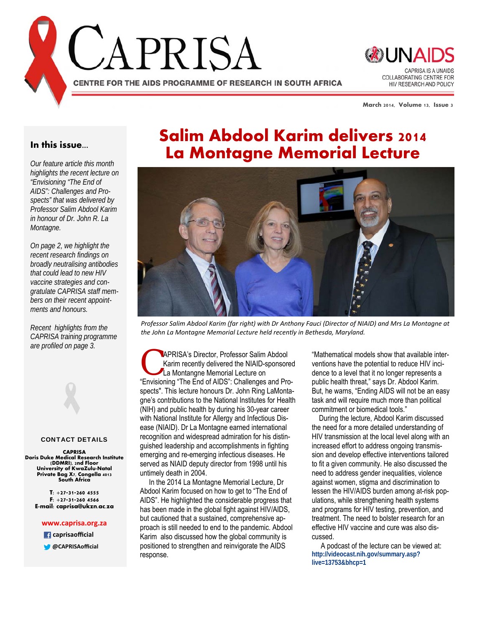



**March 2014, Volume 13, Issue 3** 

#### **In this issue...**

*Our feature article this month highlights the recent lecture on "Envisioning "The End of AIDS": Challenges and Prospects" that was delivered by Professor Salim Abdool Karim in honour of Dr. John R. La Montagne.* 

*On page 2, we highlight the recent research findings on broadly neutralising antibodies that could lead to new HIV vaccine strategies and congratulate CAPRISA staff members on their recent appointments and honours.* 

*Recent highlights from the CAPRISA training programme are profiled on page 3.*

#### CONTACT DETAILS

**CAPRISA Doris Duke Medical Research Institute (DDMRI), 2nd Floor University of KwaZulu-Natal Private Bag X7, Congella 4013 South Africa** 

**T: +27-31-260 4555 F: +27-31-260 4566 E-mail: caprisa@ukzn.ac.za** 

#### **www.caprisa.org.za**

 **caprisaofficial**

**@CAPRISAofficial**

# **Salim Abdool Karim delivers 2014 La Montagne Memorial Lecture**



Professor Salim Abdool Karim (far right) with Dr Anthony Fauci (Director of NIAID) and Mrs La Montagne at *the John La Montagne Memorial Lecture held recently in Bethesda, Maryland.*

APRISA's Director, Professor Salim Abdool Karim recently delivered the NIAID-sponsored La Montangne Memorial Lecture on "Envisioning "The End of AIDS": Challenges and Prospects". This lecture honours Dr. John Ring LaMontagne's contributions to the National Institutes for Health (NIH) and public health by during his 30-year career with National Institute for Allergy and Infectious Disease (NIAID). Dr La Montagne earned international recognition and widespread admiration for his distinguished leadership and accomplishments in fighting emerging and re-emerging infectious diseases. He served as NIAID deputy director from 1998 until his untimely death in 2004.

 In the 2014 La Montagne Memorial Lecture, Dr Abdool Karim focused on how to get to "The End of AIDS". He highlighted the considerable progress that has been made in the global fight against HIV/AIDS, but cautioned that a sustained, comprehensive approach is still needed to end to the pandemic. Abdool Karim also discussed how the global community is positioned to strengthen and reinvigorate the AIDS response.

"Mathematical models show that available interventions have the potential to reduce HIV incidence to a level that it no longer represents a public health threat," says Dr. Abdool Karim. But, he warns, "Ending AIDS will not be an easy task and will require much more than political commitment or biomedical tools."

 During the lecture, Abdool Karim discussed the need for a more detailed understanding of HIV transmission at the local level along with an increased effort to address ongoing transmission and develop effective interventions tailored to fit a given community. He also discussed the need to address gender inequalities, violence against women, stigma and discrimination to lessen the HIV/AIDS burden among at-risk populations, while strengthening health systems and programs for HIV testing, prevention, and treatment. The need to bolster research for an effective HIV vaccine and cure was also discussed.

 A podcast of the lecture can be viewed at: **http://videocast.nih.gov/summary.asp? live=13753&bhcp=1**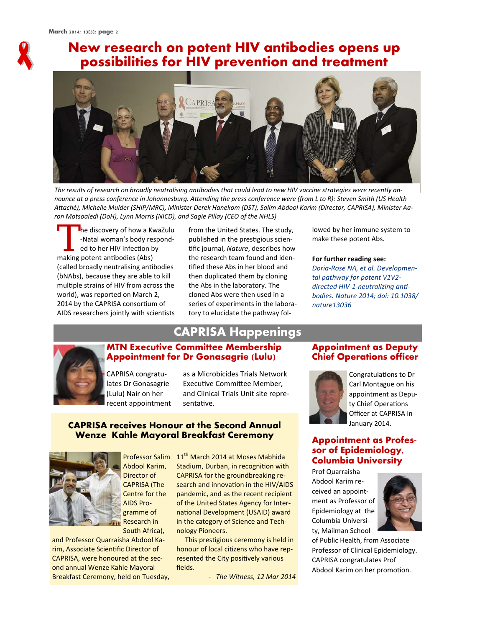

### **New research on potent HIV antibodies opens up possibilities for HIV prevention and treatment**



The results of research on broadly neutralising antibodies that could lead to new HIV vaccine strategies were recently announce at a press conference in Johannesburg. Attending the press conference were (from L to R): Steven Smith (US Health Attaché), Michelle Mulder (SHIP/MRC), Minister Derek Hanekom (DST), Salim Abdool Karim (Director, CAPRISA), Minister Aa*ron Motsoaledi (DoH), Lynn Morris (NICD), and Sagie Pillay (CEO of the NHLS)* 

The discovery of how a KwaZulu<br>-Natal woman's body responded<br>to her HIV infection by<br>making notent antibodies (Abs) ‐Natal woman's body respond‐ ed to her HIV infection by making potent antibodies (Abs) (called broadly neutralising anƟbodies (bNAbs), because they are able to kill multiple strains of HIV from across the world), was reported on March 2, 2014 by the CAPRISA consortium of AIDS researchers jointly with scientists

from the United States. The study, published in the prestigious scientific journal, *Nature*, describes how the research team found and iden‐ tified these Abs in her blood and then duplicated them by cloning the Abs in the laboratory. The cloned Abs were then used in a series of experiments in the labora‐ tory to elucidate the pathway fol‐

lowed by her immune system to make these potent Abs.

#### **For further reading see:**

*Doria-Rose NA, et al. Developmental pathway for potent V1V2* directed HIV-1-neutralizing anti*bodies. Nature 2014; doi: 10.1038/ nature13036*



### **CAPRISA Happenings MTN Executive Committee Membership Appointment for Dr Gonasagrie (Lulu)**

CAPRISA congratu‐ lates Dr Gonasagrie (Lulu) Nair on her recent appointment

as a Microbicides Trials Network Executive Committee Member, and Clinical Trials Unit site repre‐ sentative.

#### **CAPRISA receives Honour at the Second Annual Wenze Kahle Mayoral Breakfast Ceremony**



Abdool Karim, Director of CAPRISA (The Centre for the AIDS Pro‐ gramme of Research in South Africa),

and Professor Quarraisha Abdool Ka‐ rim, Associate Scientific Director of CAPRISA, were honoured at the sec‐ ond annual Wenze Kahle Mayoral Breakfast Ceremony, held on Tuesday,

Professor Salim 11<sup>th</sup> March 2014 at Moses Mabhida Stadium, Durban, in recognition with CAPRISA for the groundbreaking re‐ search and innovation in the HIV/AIDS pandemic, and as the recent recipient of the United States Agency for Inter‐ national Development (USAID) award in the category of Science and Tech‐ nology Pioneers.

> This prestigious ceremony is held in honour of local citizens who have represented the City positively various fields.

> > *- The Witness, 12 Mar 2014*

#### **Appointment as Deputy Chief Operations officer**



Congratulations to Dr Carl Montague on his appointment as Depu‐ ty Chief Operations Officer at CAPRISA in January 2014.

### **Appointment as Professor of Epidemiology, Columbia University**

Prof Quarraisha Abdool Karim re‐ ceived an appoint‐ ment as Professor of Epidemiology at the Columbia Universi‐ ty, Mailman School



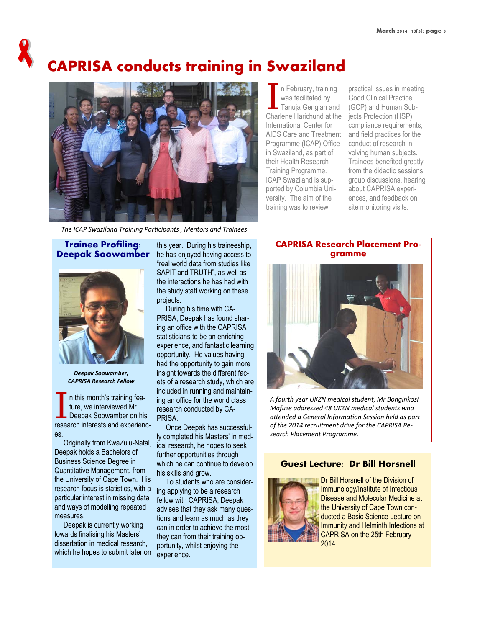# **CAPRISA conducts training in Swaziland**



n February, training was facilitated by Tanuja Gengiah and Charlene Harichund at the International Center for AIDS Care and Treatment Programme (ICAP) Office in Swaziland, as part of their Health Research Training Programme. ICAP Swaziland is supported by Columbia University. The aim of the training was to review

practical issues in meeting Good Clinical Practice (GCP) and Human Subjects Protection (HSP) compliance requirements, and field practices for the conduct of research involving human subjects. Trainees benefited greatly from the didactic sessions, group discussions, hearing about CAPRISA experiences, and feedback on site monitoring visits.

*The ICAP Swaziland Training ParƟcipants , Mentors and Trainees*

#### **Trainee Profiling: Deepak Soowamber**



*Deepak Soowamber, CAPRISA Research Fellow*

n this month's training feature, we interviewed Mr Deepak Soowamber on his research interests and experiences.

 Originally from KwaZulu-Natal, Deepak holds a Bachelors of Business Science Degree in Quantitative Management, from the University of Cape Town. His research focus is statistics, with a particular interest in missing data and ways of modelling repeated measures.

 Deepak is currently working towards finalising his Masters' dissertation in medical research, which he hopes to submit later on

this year. During his traineeship, he has enjoyed having access to "real world data from studies like SAPIT and TRUTH", as well as the interactions he has had with the study staff working on these projects.

 During his time with CA-PRISA, Deepak has found sharing an office with the CAPRISA statisticians to be an enriching experience, and fantastic learning opportunity. He values having had the opportunity to gain more insight towards the different facets of a research study, which are included in running and maintaining an office for the world class research conducted by CA-PRISA.

 Once Deepak has successfully completed his Masters' in medical research, he hopes to seek further opportunities through which he can continue to develop his skills and grow.

 To students who are considering applying to be a research fellow with CAPRISA, Deepak advises that they ask many questions and learn as much as they can in order to achieve the most they can from their training opportunity, whilst enjoying the experience.

### **CAPRISA Research Placement Programme**



*A fourth year UKZN medical student, Mr Bonginkosi Mafuze addressed 48 UKZN medical students who aƩended a General InformaƟon Session held as part of the 2014 recruitment drive for the CAPRISA Research Placement Programme.* 

### **Guest Lecture: Dr Bill Horsnell**



Dr Bill Horsnell of the Division of Immunology/Institute of Infectious Disease and Molecular Medicine at the University of Cape Town conducted a Basic Science Lecture on Immunity and Helminth Infections at CAPRISA on the 25th February 2014.